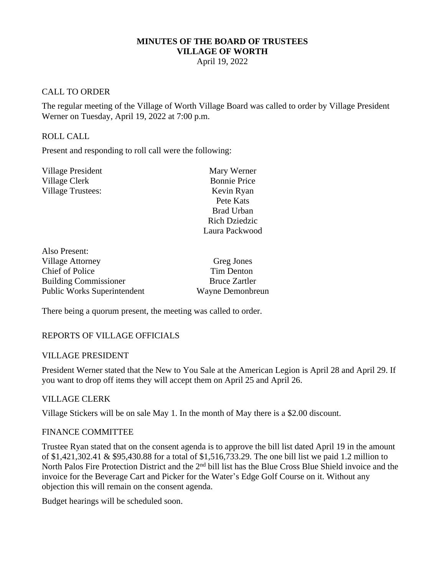### **MINUTES OF THE BOARD OF TRUSTEES VILLAGE OF WORTH**

April 19, 2022

## CALL TO ORDER

The regular meeting of the Village of Worth Village Board was called to order by Village President Werner on Tuesday, April 19, 2022 at 7:00 p.m.

### ROLL CALL

Present and responding to roll call were the following:

| Mary Werner          |
|----------------------|
| <b>Bonnie Price</b>  |
| Kevin Ryan           |
| Pete Kats            |
| <b>Brad Urban</b>    |
| <b>Rich Dziedzic</b> |
| Laura Packwood       |
|                      |

| Also Present:                      |                      |
|------------------------------------|----------------------|
| <b>Village Attorney</b>            | Greg Jones           |
| <b>Chief of Police</b>             | <b>Tim Denton</b>    |
| <b>Building Commissioner</b>       | <b>Bruce Zartler</b> |
| <b>Public Works Superintendent</b> | Wayne Demonbreun     |

There being a quorum present, the meeting was called to order.

# REPORTS OF VILLAGE OFFICIALS

### VILLAGE PRESIDENT

President Werner stated that the New to You Sale at the American Legion is April 28 and April 29. If you want to drop off items they will accept them on April 25 and April 26.

### VILLAGE CLERK

Village Stickers will be on sale May 1. In the month of May there is a \$2.00 discount.

### FINANCE COMMITTEE

Trustee Ryan stated that on the consent agenda is to approve the bill list dated April 19 in the amount of \$1,421,302.41 & \$95,430.88 for a total of \$1,516,733.29. The one bill list we paid 1.2 million to North Palos Fire Protection District and the 2<sup>nd</sup> bill list has the Blue Cross Blue Shield invoice and the invoice for the Beverage Cart and Picker for the Water's Edge Golf Course on it. Without any objection this will remain on the consent agenda.

Budget hearings will be scheduled soon.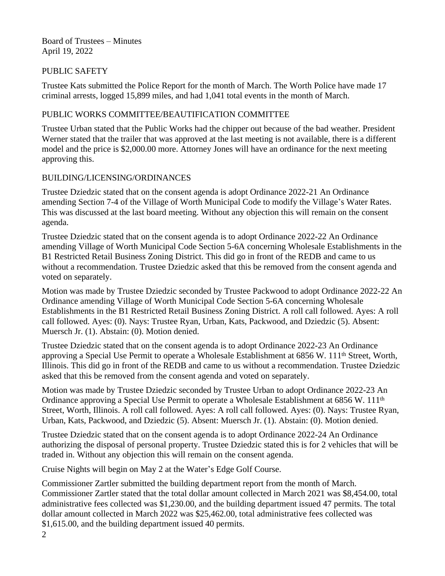Board of Trustees – Minutes April 19, 2022

# PUBLIC SAFETY

Trustee Kats submitted the Police Report for the month of March. The Worth Police have made 17 criminal arrests, logged 15,899 miles, and had 1,041 total events in the month of March.

# PUBLIC WORKS COMMITTEE/BEAUTIFICATION COMMITTEE

Trustee Urban stated that the Public Works had the chipper out because of the bad weather. President Werner stated that the trailer that was approved at the last meeting is not available, there is a different model and the price is \$2,000.00 more. Attorney Jones will have an ordinance for the next meeting approving this.

# BUILDING/LICENSING/ORDINANCES

Trustee Dziedzic stated that on the consent agenda is adopt Ordinance 2022-21 An Ordinance amending Section 7-4 of the Village of Worth Municipal Code to modify the Village's Water Rates. This was discussed at the last board meeting. Without any objection this will remain on the consent agenda.

Trustee Dziedzic stated that on the consent agenda is to adopt Ordinance 2022-22 An Ordinance amending Village of Worth Municipal Code Section 5-6A concerning Wholesale Establishments in the B1 Restricted Retail Business Zoning District. This did go in front of the REDB and came to us without a recommendation. Trustee Dziedzic asked that this be removed from the consent agenda and voted on separately.

Motion was made by Trustee Dziedzic seconded by Trustee Packwood to adopt Ordinance 2022-22 An Ordinance amending Village of Worth Municipal Code Section 5-6A concerning Wholesale Establishments in the B1 Restricted Retail Business Zoning District. A roll call followed. Ayes: A roll call followed. Ayes: (0). Nays: Trustee Ryan, Urban, Kats, Packwood, and Dziedzic (5). Absent: Muersch Jr. (1). Abstain: (0). Motion denied.

Trustee Dziedzic stated that on the consent agenda is to adopt Ordinance 2022-23 An Ordinance approving a Special Use Permit to operate a Wholesale Establishment at 6856 W. 111<sup>th</sup> Street, Worth, Illinois. This did go in front of the REDB and came to us without a recommendation. Trustee Dziedzic asked that this be removed from the consent agenda and voted on separately.

Motion was made by Trustee Dziedzic seconded by Trustee Urban to adopt Ordinance 2022-23 An Ordinance approving a Special Use Permit to operate a Wholesale Establishment at 6856 W. 111<sup>th</sup> Street, Worth, Illinois. A roll call followed. Ayes: A roll call followed. Ayes: (0). Nays: Trustee Ryan, Urban, Kats, Packwood, and Dziedzic (5). Absent: Muersch Jr. (1). Abstain: (0). Motion denied.

Trustee Dziedzic stated that on the consent agenda is to adopt Ordinance 2022-24 An Ordinance authorizing the disposal of personal property. Trustee Dziedzic stated this is for 2 vehicles that will be traded in. Without any objection this will remain on the consent agenda.

Cruise Nights will begin on May 2 at the Water's Edge Golf Course.

Commissioner Zartler submitted the building department report from the month of March. Commissioner Zartler stated that the total dollar amount collected in March 2021 was \$8,454.00, total administrative fees collected was \$1,230.00, and the building department issued 47 permits. The total dollar amount collected in March 2022 was \$25,462.00, total administrative fees collected was \$1,615.00, and the building department issued 40 permits.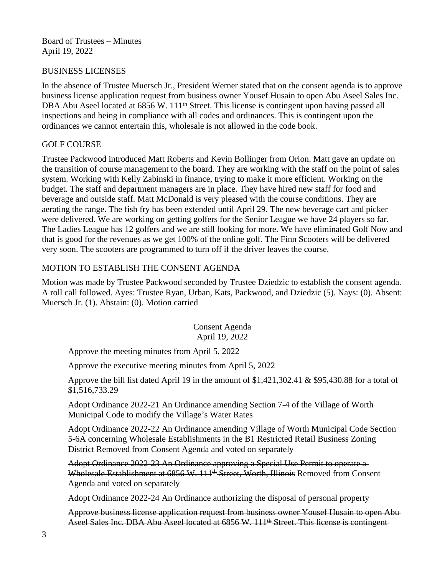Board of Trustees – Minutes April 19, 2022

## BUSINESS LICENSES

In the absence of Trustee Muersch Jr., President Werner stated that on the consent agenda is to approve business license application request from business owner Yousef Husain to open Abu Aseel Sales Inc. DBA Abu Aseel located at 6856 W. 111<sup>th</sup> Street. This license is contingent upon having passed all inspections and being in compliance with all codes and ordinances. This is contingent upon the ordinances we cannot entertain this, wholesale is not allowed in the code book.

## GOLF COURSE

Trustee Packwood introduced Matt Roberts and Kevin Bollinger from Orion. Matt gave an update on the transition of course management to the board. They are working with the staff on the point of sales system. Working with Kelly Zabinski in finance, trying to make it more efficient. Working on the budget. The staff and department managers are in place. They have hired new staff for food and beverage and outside staff. Matt McDonald is very pleased with the course conditions. They are aerating the range. The fish fry has been extended until April 29. The new beverage cart and picker were delivered. We are working on getting golfers for the Senior League we have 24 players so far. The Ladies League has 12 golfers and we are still looking for more. We have eliminated Golf Now and that is good for the revenues as we get 100% of the online golf. The Finn Scooters will be delivered very soon. The scooters are programmed to turn off if the driver leaves the course.

# MOTION TO ESTABLISH THE CONSENT AGENDA

Motion was made by Trustee Packwood seconded by Trustee Dziedzic to establish the consent agenda. A roll call followed. Ayes: Trustee Ryan, Urban, Kats, Packwood, and Dziedzic (5). Nays: (0). Absent: Muersch Jr. (1). Abstain: (0). Motion carried

> Consent Agenda April 19, 2022

Approve the meeting minutes from April 5, 2022

Approve the executive meeting minutes from April 5, 2022

Approve the bill list dated April 19 in the amount of \$1,421,302.41 & \$95,430.88 for a total of \$1,516,733.29

Adopt Ordinance 2022-21 An Ordinance amending Section 7-4 of the Village of Worth Municipal Code to modify the Village's Water Rates

Adopt Ordinance 2022-22 An Ordinance amending Village of Worth Municipal Code Section 5-6A concerning Wholesale Establishments in the B1 Restricted Retail Business Zoning District Removed from Consent Agenda and voted on separately

Adopt Ordinance 2022-23 An Ordinance approving a Special Use Permit to operate a Wholesale Establishment at 6856 W. 111<sup>th</sup> Street, Worth, Illinois Removed from Consent Agenda and voted on separately

Adopt Ordinance 2022-24 An Ordinance authorizing the disposal of personal property

Approve business license application request from business owner Yousef Husain to open Abu Aseel Sales Inc. DBA Abu Aseel located at 6856 W. 111<sup>th</sup> Street. This license is contingent